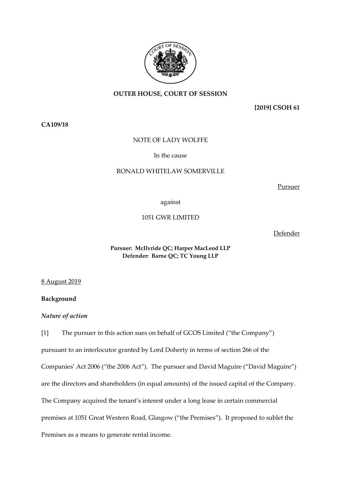

# **OUTER HOUSE, COURT OF SESSION**

**[2019] CSOH 61**

**CA109/18**

### NOTE OF LADY WOLFFE

In the cause

#### RONALD WHITELAW SOMERVILLE

Pursuer

against

1051 GWR LIMITED

Defender

## **Pursuer: McIlvride QC; Harper MacLeod LLP Defender: Barne QC; TC Young LLP**

8 August 2019

**Background**

*Nature of action*

[1] The pursuer in this action sues on behalf of GCOS Limited ("the Company") pursuant to an interlocutor granted by Lord Doherty in terms of section 266 of the Companies' Act 2006 ("the 2006 Act"). The pursuer and David Maguire ("David Maguire") are the directors and shareholders (in equal amounts) of the issued capital of the Company. The Company acquired the tenant's interest under a long lease in certain commercial premises at 1051 Great Western Road, Glasgow ("the Premises"). It proposed to sublet the Premises as a means to generate rental income.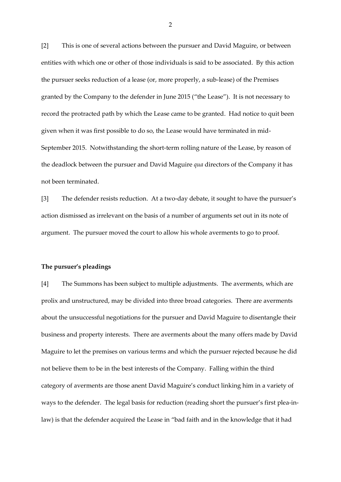[2] This is one of several actions between the pursuer and David Maguire, or between entities with which one or other of those individuals is said to be associated. By this action the pursuer seeks reduction of a lease (or, more properly, a sub-lease) of the Premises granted by the Company to the defender in June 2015 ("the Lease"). It is not necessary to record the protracted path by which the Lease came to be granted. Had notice to quit been given when it was first possible to do so, the Lease would have terminated in mid-September 2015. Notwithstanding the short-term rolling nature of the Lease, by reason of the deadlock between the pursuer and David Maguire *qua* directors of the Company it has not been terminated.

[3] The defender resists reduction. At a two-day debate, it sought to have the pursuer's action dismissed as irrelevant on the basis of a number of arguments set out in its note of argument. The pursuer moved the court to allow his whole averments to go to proof.

#### **The pursuer's pleadings**

[4] The Summons has been subject to multiple adjustments. The averments, which are prolix and unstructured, may be divided into three broad categories. There are averments about the unsuccessful negotiations for the pursuer and David Maguire to disentangle their business and property interests. There are averments about the many offers made by David Maguire to let the premises on various terms and which the pursuer rejected because he did not believe them to be in the best interests of the Company. Falling within the third category of averments are those anent David Maguire's conduct linking him in a variety of ways to the defender. The legal basis for reduction (reading short the pursuer's first plea-inlaw) is that the defender acquired the Lease in "bad faith and in the knowledge that it had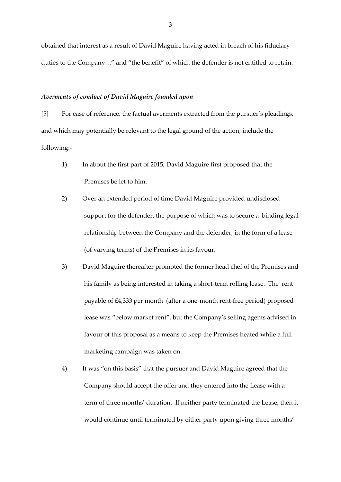obtained that interest as a result of David Maguire having acted in breach of his fiduciary duties to the Company…" and "the benefit" of which the defender is not entitled to retain.

#### *Averments of conduct of David Maguire founded upon*

[5] For ease of reference, the factual averments extracted from the pursuer's pleadings, and which may potentially be relevant to the legal ground of the action, include the following:-

- 1) In about the first part of 2015, David Maguire first proposed that the Premises be let to him.
- 2) Over an extended period of time David Maguire provided undisclosed support for the defender, the purpose of which was to secure a binding legal relationship between the Company and the defender, in the form of a lease (of varying terms) of the Premises in its favour.
- 3) David Maguire thereafter promoted the former head chef of the Premises and his family as being interested in taking a short-term rolling lease. The rent payable of £4,333 per month (after a one-month rent-free period) proposed lease was "below market rent", but the Company's selling agents advised in favour of this proposal as a means to keep the Premises heated while a full marketing campaign was taken on.
- 4) It was "on this basis" that the pursuer and David Maguire agreed that the Company should accept the offer and they entered into the Lease with a term of three months' duration. If neither party terminated the Lease, then it would continue until terminated by either party upon giving three months'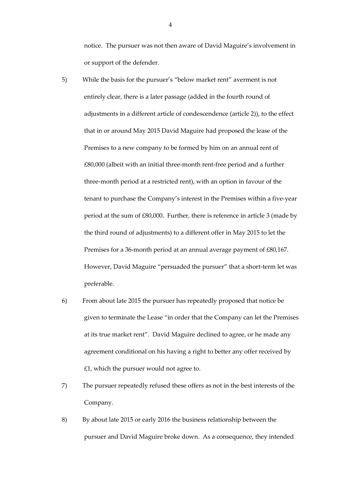notice. The pursuer was not then aware of David Maguire's involvement in or support of the defender.

- 5) While the basis for the pursuer's "below market rent" averment is not entirely clear, there is a later passage (added in the fourth round of adjustments in a different article of condescendence (article 2)), to the effect that in or around May 2015 David Maguire had proposed the lease of the Premises to a new company to be formed by him on an annual rent of £80,000 (albeit with an initial three-month rent-free period and a further three-month period at a restricted rent), with an option in favour of the tenant to purchase the Company's interest in the Premises within a five-year period at the sum of £80,000. Further, there is reference in article 3 (made by the third round of adjustments) to a different offer in May 2015 to let the Premises for a 36-month period at an annual average payment of £80,167. However, David Maguire "persuaded the pursuer" that a short-term let was preferable.
- 6) From about late 2015 the pursuer has repeatedly proposed that notice be given to terminate the Lease "in order that the Company can let the Premises at its true market rent". David Maguire declined to agree, or he made any agreement conditional on his having a right to better any offer received by  $£1$ , which the pursuer would not agree to.
- 7) The pursuer repeatedly refused these offers as not in the best interests of the Company.
- 8) By about late 2015 or early 2016 the business relationship between the pursuer and David Maguire broke down. As a consequence, they intended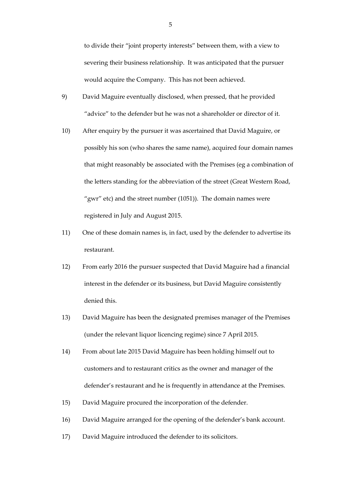to divide their "joint property interests" between them, with a view to severing their business relationship. It was anticipated that the pursuer would acquire the Company. This has not been achieved.

- 9) David Maguire eventually disclosed, when pressed, that he provided "advice" to the defender but he was not a shareholder or director of it.
- 10) After enquiry by the pursuer it was ascertained that David Maguire, or possibly his son (who shares the same name), acquired four domain names that might reasonably be associated with the Premises (eg a combination of the letters standing for the abbreviation of the street (Great Western Road, "gwr" etc) and the street number (1051)). The domain names were registered in July and August 2015.
- 11) One of these domain names is, in fact, used by the defender to advertise its restaurant.
- 12) From early 2016 the pursuer suspected that David Maguire had a financial interest in the defender or its business, but David Maguire consistently denied this.
- 13) David Maguire has been the designated premises manager of the Premises (under the relevant liquor licencing regime) since 7 April 2015.
- 14) From about late 2015 David Maguire has been holding himself out to customers and to restaurant critics as the owner and manager of the defender's restaurant and he is frequently in attendance at the Premises.
- 15) David Maguire procured the incorporation of the defender.
- 16) David Maguire arranged for the opening of the defender's bank account.
- 17) David Maguire introduced the defender to its solicitors.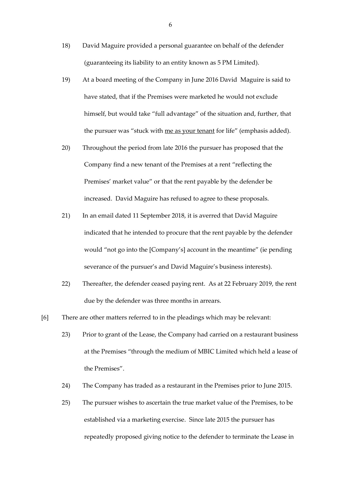- 18) David Maguire provided a personal guarantee on behalf of the defender (guaranteeing its liability to an entity known as 5 PM Limited).
- 19) At a board meeting of the Company in June 2016 David Maguire is said to have stated, that if the Premises were marketed he would not exclude himself, but would take "full advantage" of the situation and, further, that the pursuer was "stuck with me as your tenant for life" (emphasis added).
- 20) Throughout the period from late 2016 the pursuer has proposed that the Company find a new tenant of the Premises at a rent "reflecting the Premises' market value" or that the rent payable by the defender be increased. David Maguire has refused to agree to these proposals.
- 21) In an email dated 11 September 2018, it is averred that David Maguire indicated that he intended to procure that the rent payable by the defender would "not go into the [Company's] account in the meantime" (ie pending severance of the pursuer's and David Maguire's business interests).
- 22) Thereafter, the defender ceased paying rent. As at 22 February 2019, the rent due by the defender was three months in arrears.
- [6] There are other matters referred to in the pleadings which may be relevant:
	- 23) Prior to grant of the Lease, the Company had carried on a restaurant business at the Premises "through the medium of MBIC Limited which held a lease of the Premises".
	- 24) The Company has traded as a restaurant in the Premises prior to June 2015.
	- 25) The pursuer wishes to ascertain the true market value of the Premises, to be established via a marketing exercise. Since late 2015 the pursuer has repeatedly proposed giving notice to the defender to terminate the Lease in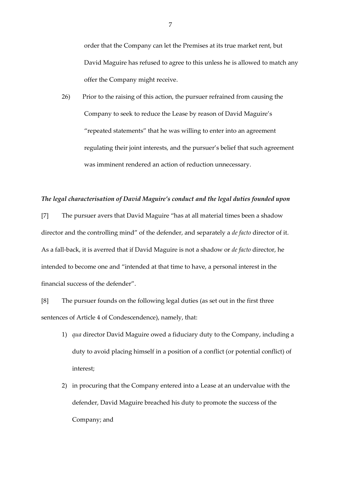order that the Company can let the Premises at its true market rent, but David Maguire has refused to agree to this unless he is allowed to match any offer the Company might receive.

26) Prior to the raising of this action, the pursuer refrained from causing the Company to seek to reduce the Lease by reason of David Maguire's "repeated statements" that he was willing to enter into an agreement regulating their joint interests, and the pursuer's belief that such agreement was imminent rendered an action of reduction unnecessary.

## *The legal characterisation of David Maguire's conduct and the legal duties founded upon*

[7] The pursuer avers that David Maguire "has at all material times been a shadow director and the controlling mind" of the defender, and separately a *de facto* director of it. As a fall-back, it is averred that if David Maguire is not a shadow or *de facto* director, he intended to become one and "intended at that time to have, a personal interest in the financial success of the defender".

[8] The pursuer founds on the following legal duties (as set out in the first three sentences of Article 4 of Condescendence), namely, that:

- 1) *qua* director David Maguire owed a fiduciary duty to the Company, including a duty to avoid placing himself in a position of a conflict (or potential conflict) of interest;
- 2) in procuring that the Company entered into a Lease at an undervalue with the defender, David Maguire breached his duty to promote the success of the Company; and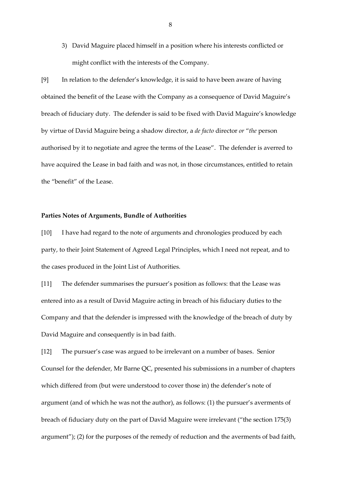3) David Maguire placed himself in a position where his interests conflicted or might conflict with the interests of the Company.

[9] In relation to the defender's knowledge, it is said to have been aware of having obtained the benefit of the Lease with the Company as a consequence of David Maguire's breach of fiduciary duty. The defender is said to be fixed with David Maguire's knowledge by virtue of David Maguire being a shadow director, a *de facto* director *or* "*the* person authorised by it to negotiate and agree the terms of the Lease". The defender is averred to have acquired the Lease in bad faith and was not, in those circumstances, entitled to retain the "benefit" of the Lease.

#### **Parties Notes of Arguments, Bundle of Authorities**

[10] I have had regard to the note of arguments and chronologies produced by each party, to their Joint Statement of Agreed Legal Principles, which I need not repeat, and to the cases produced in the Joint List of Authorities.

[11] The defender summarises the pursuer's position as follows: that the Lease was entered into as a result of David Maguire acting in breach of his fiduciary duties to the Company and that the defender is impressed with the knowledge of the breach of duty by David Maguire and consequently is in bad faith.

[12] The pursuer's case was argued to be irrelevant on a number of bases. Senior Counsel for the defender, Mr Barne QC, presented his submissions in a number of chapters which differed from (but were understood to cover those in) the defender's note of argument (and of which he was not the author), as follows: (1) the pursuer's averments of breach of fiduciary duty on the part of David Maguire were irrelevant ("the section 175(3) argument"); (2) for the purposes of the remedy of reduction and the averments of bad faith,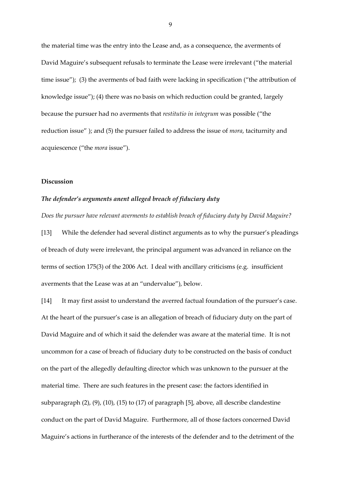the material time was the entry into the Lease and, as a consequence, the averments of David Maguire's subsequent refusals to terminate the Lease were irrelevant ("the material time issue"); (3) the averments of bad faith were lacking in specification ("the attribution of knowledge issue"); (4) there was no basis on which reduction could be granted, largely because the pursuer had no averments that *restitutio in integrum* was possible ("the reduction issue" ); and (5) the pursuer failed to address the issue of *mora*, taciturnity and acquiescence ("the *mora* issue").

#### **Discussion**

### *The defender's arguments anent alleged breach of fiduciary duty*

*Does the pursuer have relevant averments to establish breach of fiduciary duty by David Maguire?*

[13] While the defender had several distinct arguments as to why the pursuer's pleadings of breach of duty were irrelevant, the principal argument was advanced in reliance on the terms of section 175(3) of the 2006 Act. I deal with ancillary criticisms (e.g. insufficient averments that the Lease was at an "undervalue"), below.

[14] It may first assist to understand the averred factual foundation of the pursuer's case. At the heart of the pursuer's case is an allegation of breach of fiduciary duty on the part of David Maguire and of which it said the defender was aware at the material time. It is not uncommon for a case of breach of fiduciary duty to be constructed on the basis of conduct on the part of the allegedly defaulting director which was unknown to the pursuer at the material time. There are such features in the present case: the factors identified in subparagraph (2), (9), (10), (15) to (17) of paragraph [5], above, all describe clandestine conduct on the part of David Maguire. Furthermore, all of those factors concerned David Maguire's actions in furtherance of the interests of the defender and to the detriment of the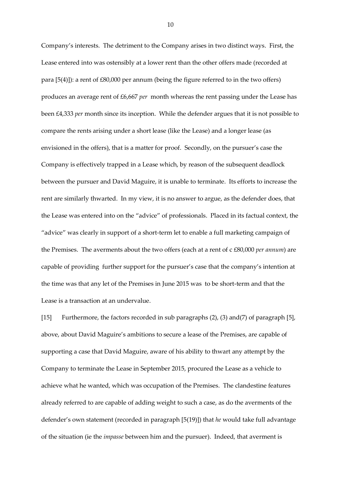Company's interests. The detriment to the Company arises in two distinct ways. First, the Lease entered into was ostensibly at a lower rent than the other offers made (recorded at para [5(4)]): a rent of £80,000 per annum (being the figure referred to in the two offers) produces an average rent of £6,667 *per* month whereas the rent passing under the Lease has been £4,333 *per* month since its inception. While the defender argues that it is not possible to compare the rents arising under a short lease (like the Lease) and a longer lease (as envisioned in the offers), that is a matter for proof. Secondly, on the pursuer's case the Company is effectively trapped in a Lease which, by reason of the subsequent deadlock between the pursuer and David Maguire, it is unable to terminate. Its efforts to increase the rent are similarly thwarted. In my view, it is no answer to argue, as the defender does, that the Lease was entered into on the "advice" of professionals. Placed in its factual context, the "advice" was clearly in support of a short-term let to enable a full marketing campaign of the Premises. The averments about the two offers (each at a rent of c £80,000 *per annum*) are capable of providing further support for the pursuer's case that the company's intention at the time was that any let of the Premises in June 2015 was to be short-term and that the Lease is a transaction at an undervalue.

[15] Furthermore, the factors recorded in sub paragraphs (2), (3) and(7) of paragraph [5], above, about David Maguire's ambitions to secure a lease of the Premises, are capable of supporting a case that David Maguire, aware of his ability to thwart any attempt by the Company to terminate the Lease in September 2015, procured the Lease as a vehicle to achieve what he wanted, which was occupation of the Premises. The clandestine features already referred to are capable of adding weight to such a case, as do the averments of the defender's own statement (recorded in paragraph [5(19)]) that *he* would take full advantage of the situation (ie the *impasse* between him and the pursuer). Indeed, that averment is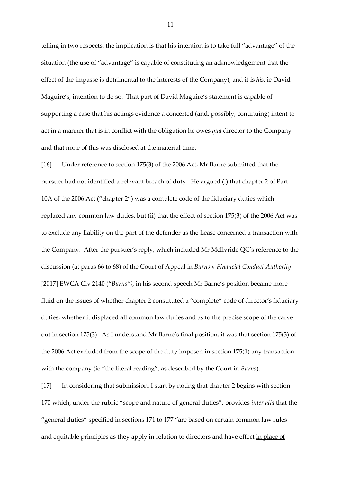telling in two respects: the implication is that his intention is to take full "advantage" of the situation (the use of "advantage" is capable of constituting an acknowledgement that the effect of the impasse is detrimental to the interests of the Company); and it is *his*, ie David Maguire's, intention to do so. That part of David Maguire's statement is capable of supporting a case that his actings evidence a concerted (and, possibly, continuing) intent to act in a manner that is in conflict with the obligation he owes *qua* director to the Company and that none of this was disclosed at the material time.

[16] Under reference to section 175(3) of the 2006 Act, Mr Barne submitted that the pursuer had not identified a relevant breach of duty. He argued (i) that chapter 2 of Part 10A of the 2006 Act ("chapter 2") was a complete code of the fiduciary duties which replaced any common law duties, but (ii) that the effect of section 175(3) of the 2006 Act was to exclude any liability on the part of the defender as the Lease concerned a transaction with the Company. After the pursuer's reply, which included Mr McIlvride QC's reference to the discussion (at paras 66 to 68) of the Court of Appeal in *Burns* v *Financial Conduct Authority* [2017] EWCA Civ 2140 ("*Burns")*, in his second speech Mr Barne's position became more fluid on the issues of whether chapter 2 constituted a "complete" code of director's fiduciary duties, whether it displaced all common law duties and as to the precise scope of the carve out in section 175(3). As I understand Mr Barne's final position, it was that section 175(3) of the 2006 Act excluded from the scope of the duty imposed in section 175(1) any transaction with the company (ie "the literal reading", as described by the Court in *Burns*).

[17] In considering that submission, I start by noting that chapter 2 begins with section 170 which, under the rubric "scope and nature of general duties", provides *inter alia* that the "general duties" specified in sections 171 to 177 "are based on certain common law rules and equitable principles as they apply in relation to directors and have effect in place of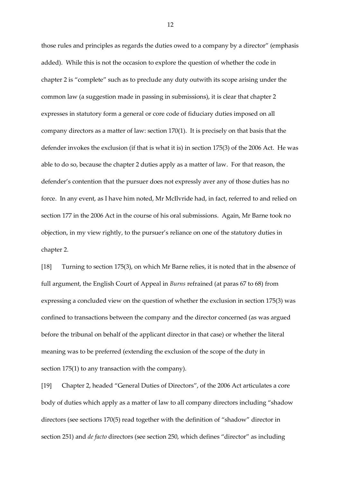those rules and principles as regards the duties owed to a company by a director" (emphasis added). While this is not the occasion to explore the question of whether the code in chapter 2 is "complete" such as to preclude any duty outwith its scope arising under the common law (a suggestion made in passing in submissions), it is clear that chapter 2 expresses in statutory form a general or core code of fiduciary duties imposed on all company directors as a matter of law: section 170(1). It is precisely on that basis that the defender invokes the exclusion (if that is what it is) in section 175(3) of the 2006 Act. He was able to do so, because the chapter 2 duties apply as a matter of law. For that reason, the defender's contention that the pursuer does not expressly aver any of those duties has no force. In any event, as I have him noted, Mr McIlvride had, in fact, referred to and relied on section 177 in the 2006 Act in the course of his oral submissions. Again, Mr Barne took no objection, in my view rightly, to the pursuer's reliance on one of the statutory duties in chapter 2.

[18] Turning to section 175(3), on which Mr Barne relies, it is noted that in the absence of full argument, the English Court of Appeal in *Burns* refrained (at paras 67 to 68) from expressing a concluded view on the question of whether the exclusion in section 175(3) was confined to transactions between the company and the director concerned (as was argued before the tribunal on behalf of the applicant director in that case) or whether the literal meaning was to be preferred (extending the exclusion of the scope of the duty in section 175(1) to any transaction with the company).

[19] Chapter 2, headed "General Duties of Directors", of the 2006 Act articulates a core body of duties which apply as a matter of law to all company directors including "shadow directors (see sections 170(5) read together with the definition of "shadow" director in section 251) and *de facto* directors (see section 250, which defines "director" as including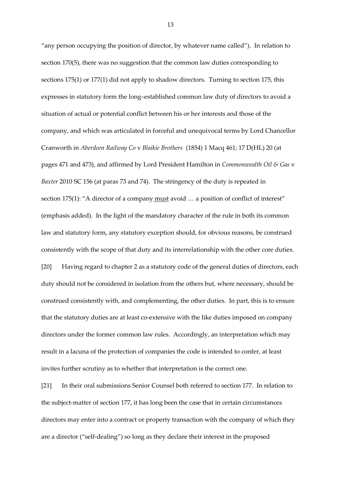"any person occupying the position of director, by whatever name called"). In relation to section 170(5), there was no suggestion that the common law duties corresponding to sections 175(1) or 177(1) did not apply to shadow directors. Turning to section 175, this expresses in statutory form the long–established common law duty of directors to avoid a situation of actual or potential conflict between his or her interests and those of the company, and which was articulated in forceful and unequivocal terms by Lord Chancellor Cranworth in *Aberdeen Railway Co* v *Blaikie Brothers* (1854) 1 Macq 461; 17 D(HL) 20 (at pages 471 and 473), and affirmed by Lord President Hamilton in *Commonwealth Oil & Gas* v *Baxter* 2010 SC 156 (at paras 73 and 74). The stringency of the duty is repeated in section 175(1): "A director of a company must avoid ... a position of conflict of interest" (emphasis added). In the light of the mandatory character of the rule in both its common law and statutory form, any statutory exception should, for obvious reasons, be construed consistently with the scope of that duty and its interrelationship with the other core duties. [20] Having regard to chapter 2 as a statutory code of the general duties of directors, each duty should not be considered in isolation from the others but, where necessary, should be construed consistently with, and complementing, the other duties. In part, this is to ensure that the statutory duties are at least co-extensive with the like duties imposed on company directors under the former common law rules. Accordingly, an interpretation which may result in a lacuna of the protection of companies the code is intended to confer, at least invites further scrutiny as to whether that interpretation is the correct one.

[21] In their oral submissions Senior Counsel both referred to section 177. In relation to the subject-matter of section 177, it has long been the case that in certain circumstances directors may enter into a contract or property transaction with the company of which they are a director ("self-dealing") so long as they declare their interest in the proposed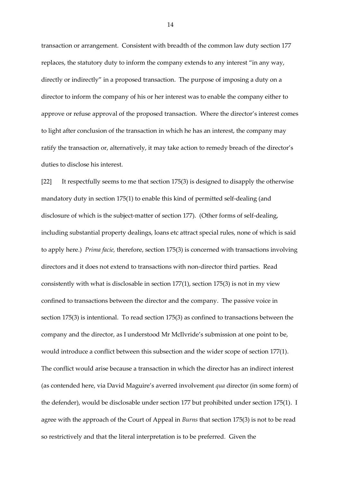transaction or arrangement. Consistent with breadth of the common law duty section 177 replaces, the statutory duty to inform the company extends to any interest "in any way, directly or indirectly" in a proposed transaction. The purpose of imposing a duty on a director to inform the company of his or her interest was to enable the company either to approve or refuse approval of the proposed transaction. Where the director's interest comes to light after conclusion of the transaction in which he has an interest, the company may ratify the transaction or, alternatively, it may take action to remedy breach of the director's duties to disclose his interest.

[22] It respectfully seems to me that section 175(3) is designed to disapply the otherwise mandatory duty in section 175(1) to enable this kind of permitted self-dealing (and disclosure of which is the subject-matter of section 177). (Other forms of self-dealing, including substantial property dealings, loans etc attract special rules, none of which is said to apply here.) *Prima facie,* therefore, section 175(3) is concerned with transactions involving directors and it does not extend to transactions with non-director third parties. Read consistently with what is disclosable in section 177(1), section 175(3) is not in my view confined to transactions between the director and the company. The passive voice in section 175(3) is intentional. To read section 175(3) as confined to transactions between the company and the director, as I understood Mr McIlvride's submission at one point to be, would introduce a conflict between this subsection and the wider scope of section 177(1). The conflict would arise because a transaction in which the director has an indirect interest (as contended here, via David Maguire's averred involvement *qua* director (in some form) of the defender), would be disclosable under section 177 but prohibited under section 175(1). I agree with the approach of the Court of Appeal in *Burns* that section 175(3) is not to be read so restrictively and that the literal interpretation is to be preferred*.* Given the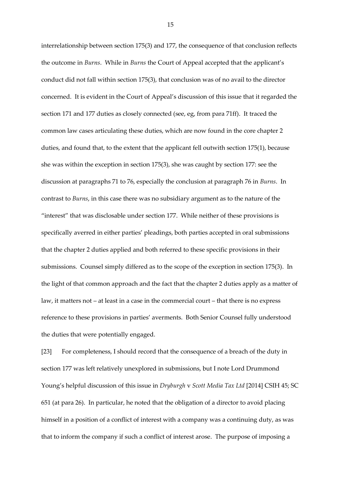interrelationship between section 175(3) and 177, the consequence of that conclusion reflects the outcome in *Burns*. While in *Burns* the Court of Appeal accepted that the applicant's conduct did not fall within section 175(3), that conclusion was of no avail to the director concerned. It is evident in the Court of Appeal's discussion of this issue that it regarded the section 171 and 177 duties as closely connected (see, eg, from para 71ff). It traced the common law cases articulating these duties, which are now found in the core chapter 2 duties, and found that, to the extent that the applicant fell outwith section 175(1), because she was within the exception in section 175(3), she was caught by section 177: see the discussion at paragraphs 71 to 76, especially the conclusion at paragraph 76 in *Burns*. In contrast to *Burns*, in this case there was no subsidiary argument as to the nature of the "interest" that was disclosable under section 177. While neither of these provisions is specifically averred in either parties' pleadings, both parties accepted in oral submissions that the chapter 2 duties applied and both referred to these specific provisions in their submissions. Counsel simply differed as to the scope of the exception in section 175(3). In the light of that common approach and the fact that the chapter 2 duties apply as a matter of law, it matters not – at least in a case in the commercial court – that there is no express reference to these provisions in parties' averments. Both Senior Counsel fully understood the duties that were potentially engaged.

[23] For completeness, I should record that the consequence of a breach of the duty in section 177 was left relatively unexplored in submissions, but I note Lord Drummond Young's helpful discussion of this issue in *Dryburgh* v *Scott Media Tax Ltd* [2014] CSIH 45; SC 651 (at para 26). In particular, he noted that the obligation of a director to avoid placing himself in a position of a conflict of interest with a company was a continuing duty, as was that to inform the company if such a conflict of interest arose. The purpose of imposing a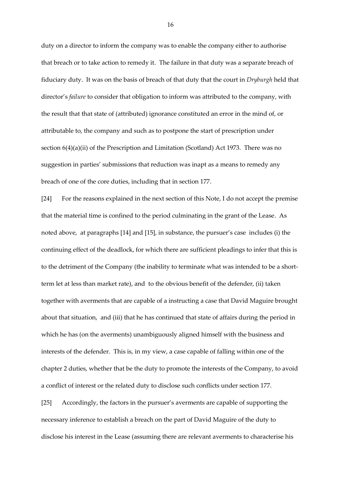duty on a director to inform the company was to enable the company either to authorise that breach or to take action to remedy it. The failure in that duty was a separate breach of fiduciary duty. It was on the basis of breach of that duty that the court in *Dryburgh* held that director's *failure* to consider that obligation to inform was attributed to the company, with the result that that state of (attributed) ignorance constituted an error in the mind of, or attributable to, the company and such as to postpone the start of prescription under section 6(4)(a)(ii) of the Prescription and Limitation (Scotland) Act 1973. There was no suggestion in parties' submissions that reduction was inapt as a means to remedy any breach of one of the core duties, including that in section 177.

[24] For the reasons explained in the next section of this Note, I do not accept the premise that the material time is confined to the period culminating in the grant of the Lease. As noted above, at paragraphs [14] and [15], in substance, the pursuer's case includes (i) the continuing effect of the deadlock, for which there are sufficient pleadings to infer that this is to the detriment of the Company (the inability to terminate what was intended to be a shortterm let at less than market rate), and to the obvious benefit of the defender, (ii) taken together with averments that are capable of a instructing a case that David Maguire brought about that situation, and (iii) that he has continued that state of affairs during the period in which he has (on the averments) unambiguously aligned himself with the business and interests of the defender. This is, in my view, a case capable of falling within one of the chapter 2 duties, whether that be the duty to promote the interests of the Company, to avoid a conflict of interest or the related duty to disclose such conflicts under section 177.

[25] Accordingly, the factors in the pursuer's averments are capable of supporting the necessary inference to establish a breach on the part of David Maguire of the duty to disclose his interest in the Lease (assuming there are relevant averments to characterise his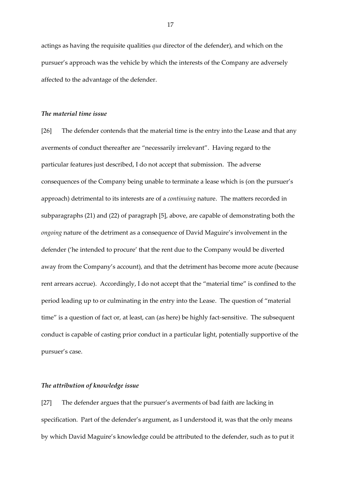actings as having the requisite qualities *qua* director of the defender), and which on the pursuer's approach was the vehicle by which the interests of the Company are adversely affected to the advantage of the defender.

#### *The material time issue*

[26] The defender contends that the material time is the entry into the Lease and that any averments of conduct thereafter are "necessarily irrelevant". Having regard to the particular features just described, I do not accept that submission. The adverse consequences of the Company being unable to terminate a lease which is (on the pursuer's approach) detrimental to its interests are of a *continuing* nature. The matters recorded in subparagraphs (21) and (22) of paragraph [5], above, are capable of demonstrating both the *ongoing* nature of the detriment as a consequence of David Maguire's involvement in the defender ('he intended to procure' that the rent due to the Company would be diverted away from the Company's account), and that the detriment has become more acute (because rent arrears accrue). Accordingly, I do not accept that the "material time" is confined to the period leading up to or culminating in the entry into the Lease. The question of "material time" is a question of fact or, at least, can (as here) be highly fact-sensitive. The subsequent conduct is capable of casting prior conduct in a particular light, potentially supportive of the pursuer's case.

#### *The attribution of knowledge issue*

[27] The defender argues that the pursuer's averments of bad faith are lacking in specification. Part of the defender's argument, as I understood it, was that the only means by which David Maguire's knowledge could be attributed to the defender, such as to put it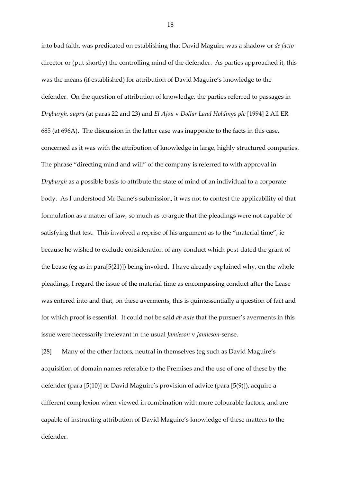into bad faith, was predicated on establishing that David Maguire was a shadow or *de facto* director or (put shortly) the controlling mind of the defender. As parties approached it, this was the means (if established) for attribution of David Maguire's knowledge to the defender. On the question of attribution of knowledge, the parties referred to passages in *Dryburgh, supra* (at paras 22 and 23) and *El Ajou* v *Dollar Land Holdings plc* [1994] 2 All ER 685 (at 696A). The discussion in the latter case was inapposite to the facts in this case, concerned as it was with the attribution of knowledge in large, highly structured companies. The phrase "directing mind and will" of the company is referred to with approval in *Dryburgh* as a possible basis to attribute the state of mind of an individual to a corporate body. As I understood Mr Barne's submission, it was not to contest the applicability of that formulation as a matter of law, so much as to argue that the pleadings were not capable of satisfying that test. This involved a reprise of his argument as to the "material time", ie because he wished to exclude consideration of any conduct which post-dated the grant of the Lease (eg as in para[5(21)]) being invoked. I have already explained why, on the whole pleadings, I regard the issue of the material time as encompassing conduct after the Lease was entered into and that, on these averments, this is quintessentially a question of fact and for which proof is essential. It could not be said *ab ante* that the pursuer's averments in this issue were necessarily irrelevant in the usual *Jamieson* v *Jamieson-*sense.

[28] Many of the other factors, neutral in themselves (eg such as David Maguire's acquisition of domain names referable to the Premises and the use of one of these by the defender (para [5(10)] or David Maguire's provision of advice (para [5(9)]), acquire a different complexion when viewed in combination with more colourable factors, and are capable of instructing attribution of David Maguire's knowledge of these matters to the defender.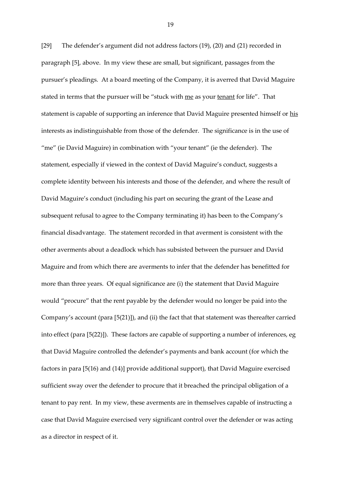[29] The defender's argument did not address factors (19), (20) and (21) recorded in paragraph [5], above. In my view these are small, but significant, passages from the pursuer's pleadings. At a board meeting of the Company, it is averred that David Maguire stated in terms that the pursuer will be "stuck with me as your tenant for life". That statement is capable of supporting an inference that David Maguire presented himself or his interests as indistinguishable from those of the defender. The significance is in the use of "me" (ie David Maguire) in combination with "your tenant" (ie the defender). The statement, especially if viewed in the context of David Maguire's conduct, suggests a complete identity between his interests and those of the defender, and where the result of David Maguire's conduct (including his part on securing the grant of the Lease and subsequent refusal to agree to the Company terminating it) has been to the Company's financial disadvantage. The statement recorded in that averment is consistent with the other averments about a deadlock which has subsisted between the pursuer and David Maguire and from which there are averments to infer that the defender has benefitted for more than three years. Of equal significance are (i) the statement that David Maguire would "procure" that the rent payable by the defender would no longer be paid into the Company's account (para [5(21)]), and (ii) the fact that that statement was thereafter carried into effect (para [5(22)]). These factors are capable of supporting a number of inferences, eg that David Maguire controlled the defender's payments and bank account (for which the factors in para [5(16) and (14)] provide additional support), that David Maguire exercised sufficient sway over the defender to procure that it breached the principal obligation of a tenant to pay rent. In my view, these averments are in themselves capable of instructing a case that David Maguire exercised very significant control over the defender or was acting as a director in respect of it.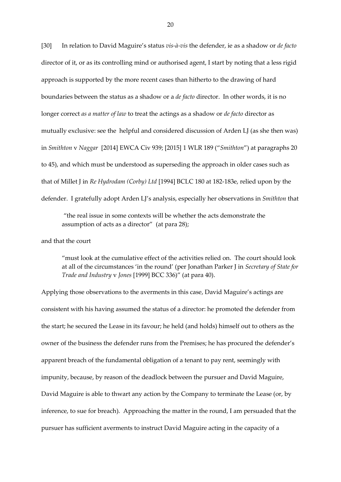[30] In relation to David Maguire's status *vis-à-vis* the defender, ie as a shadow or *de facto*  director of it, or as its controlling mind or authorised agent, I start by noting that a less rigid approach is supported by the more recent cases than hitherto to the drawing of hard boundaries between the status as a shadow or a *de facto* director. In other words, it is no longer correct *as a matter of law* to treat the actings as a shadow or *de facto* director as mutually exclusive: see the helpful and considered discussion of Arden LJ (as she then was) in *Smithton* v *Naggar* [2014] EWCA Civ 939; [2015] 1 WLR 189 ("*Smithton*") at paragraphs 20 to 45), and which must be understood as superseding the approach in older cases such as that of Millet J in *Re Hydrodam (Corby) Ltd* [1994] BCLC 180 at 182-183e, relied upon by the defender. I gratefully adopt Arden LJ's analysis, especially her observations in *Smithton* that

"the real issue in some contexts will be whether the acts demonstrate the assumption of acts as a director" (at para 28);

and that the court

"must look at the cumulative effect of the activities relied on. The court should look at all of the circumstances 'in the round' (per Jonathan Parker J in *Secretary of State for Trade and Industry* v *Jones* [1999] BCC 336)" (at para 40).

Applying those observations to the averments in this case, David Maguire's actings are consistent with his having assumed the status of a director: he promoted the defender from the start; he secured the Lease in its favour; he held (and holds) himself out to others as the owner of the business the defender runs from the Premises; he has procured the defender's apparent breach of the fundamental obligation of a tenant to pay rent, seemingly with impunity, because, by reason of the deadlock between the pursuer and David Maguire, David Maguire is able to thwart any action by the Company to terminate the Lease (or, by inference, to sue for breach). Approaching the matter in the round, I am persuaded that the pursuer has sufficient averments to instruct David Maguire acting in the capacity of a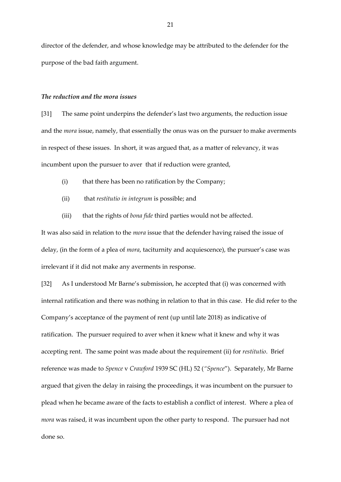director of the defender, and whose knowledge may be attributed to the defender for the purpose of the bad faith argument.

#### *The reduction and the mora issues*

[31] The same point underpins the defender's last two arguments, the reduction issue and the *mora* issue, namely, that essentially the onus was on the pursuer to make averments in respect of these issues. In short, it was argued that, as a matter of relevancy, it was incumbent upon the pursuer to aver that if reduction were granted,

- (i) that there has been no ratification by the Company;
- (ii) that *restitutio in integrum* is possible; and
- (iii) that the rights of *bona fide* third parties would not be affected.

It was also said in relation to the *mora* issue that the defender having raised the issue of delay, (in the form of a plea of *mora*, taciturnity and acquiescence), the pursuer's case was irrelevant if it did not make any averments in response.

[32] As I understood Mr Barne's submission, he accepted that (i) was concerned with internal ratification and there was nothing in relation to that in this case. He did refer to the Company's acceptance of the payment of rent (up until late 2018) as indicative of ratification. The pursuer required to aver when it knew what it knew and why it was accepting rent. The same point was made about the requirement (ii) for *restitutio*. Brief reference was made to *Spence* v *Crawford* 1939 SC (HL) 52 (*"Spence*"). Separately, Mr Barne argued that given the delay in raising the proceedings, it was incumbent on the pursuer to plead when he became aware of the facts to establish a conflict of interest. Where a plea of *mora* was raised, it was incumbent upon the other party to respond. The pursuer had not done so.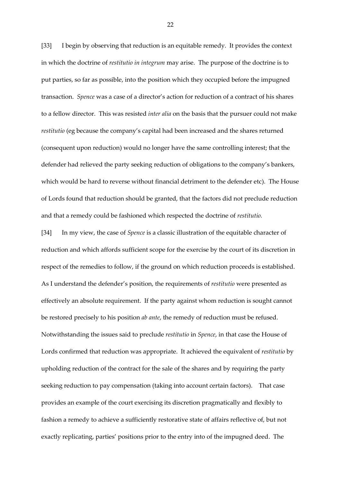[33] I begin by observing that reduction is an equitable remedy. It provides the context in which the doctrine of *restitutio in integrum* may arise. The purpose of the doctrine is to put parties, so far as possible, into the position which they occupied before the impugned transaction. *Spence* was a case of a director's action for reduction of a contract of his shares to a fellow director. This was resisted *inter alia* on the basis that the pursuer could not make *restitutio* (eg because the company's capital had been increased and the shares returned (consequent upon reduction) would no longer have the same controlling interest; that the defender had relieved the party seeking reduction of obligations to the company's bankers, which would be hard to reverse without financial detriment to the defender etc). The House of Lords found that reduction should be granted, that the factors did not preclude reduction and that a remedy could be fashioned which respected the doctrine of *restitutio.*

[34] In my view, the case of *Spence* is a classic illustration of the equitable character of reduction and which affords sufficient scope for the exercise by the court of its discretion in respect of the remedies to follow, if the ground on which reduction proceeds is established. As I understand the defender's position, the requirements of *restitutio* were presented as effectively an absolute requirement. If the party against whom reduction is sought cannot be restored precisely to his position *ab ante*, the remedy of reduction must be refused. Notwithstanding the issues said to preclude *restitutio* in *Spence*, in that case the House of Lords confirmed that reduction was appropriate. It achieved the equivalent of *restitutio* by upholding reduction of the contract for the sale of the shares and by requiring the party seeking reduction to pay compensation (taking into account certain factors). That case provides an example of the court exercising its discretion pragmatically and flexibly to fashion a remedy to achieve a sufficiently restorative state of affairs reflective of, but not exactly replicating, parties' positions prior to the entry into of the impugned deed. The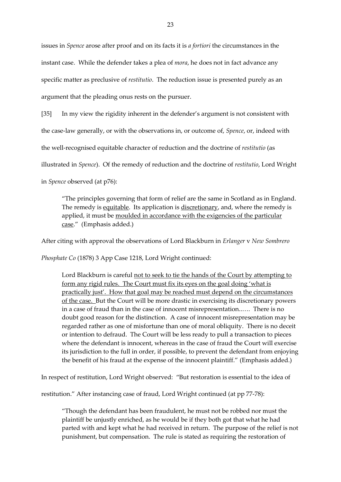issues in *Spence* arose after proof and on its facts it is *a fortiori* the circumstances in the instant case. While the defender takes a plea of *mora*, he does not in fact advance any specific matter as preclusive of *restitutio*. The reduction issue is presented purely as an argument that the pleading onus rests on the pursuer.

[35] In my view the rigidity inherent in the defender's argument is not consistent with

the case-law generally, or with the observations in, or outcome of, *Spence*, or, indeed with

the well-recognised equitable character of reduction and the doctrine of *restitutio* (as

illustrated in *Spence*). Of the remedy of reduction and the doctrine of *restitutio*, Lord Wright

in *Spence* observed (at p76):

"The principles governing that form of relief are the same in Scotland as in England. The remedy is equitable. Its application is discretionary, and, where the remedy is applied, it must be moulded in accordance with the exigencies of the particular case." (Emphasis added.)

After citing with approval the observations of Lord Blackburn in *Erlanger* v *New Sombrero* 

*Phosphate Co* (1878) 3 App Case 1218, Lord Wright continued:

Lord Blackburn is careful not to seek to tie the hands of the Court by attempting to form any rigid rules. The Court must fix its eyes on the goal doing 'what is practically just'. How that goal may be reached must depend on the circumstances of the case. But the Court will be more drastic in exercising its discretionary powers in a case of fraud than in the case of innocent misrepresentation..…. There is no doubt good reason for the distinction. A case of innocent misrepresentation may be regarded rather as one of misfortune than one of moral obliquity. There is no deceit or intention to defraud. The Court will be less ready to pull a transaction to pieces where the defendant is innocent, whereas in the case of fraud the Court will exercise its jurisdiction to the full in order, if possible, to prevent the defendant from enjoying the benefit of his fraud at the expense of the innocent plaintiff." (Emphasis added.)

In respect of restitution, Lord Wright observed: "But restoration is essential to the idea of

restitution." After instancing case of fraud, Lord Wright continued (at pp 77-78):

"Though the defendant has been fraudulent, he must not be robbed nor must the plaintiff be unjustly enriched, as he would be if they both got that what he had parted with and kept what he had received in return. The purpose of the relief is not punishment, but compensation. The rule is stated as requiring the restoration of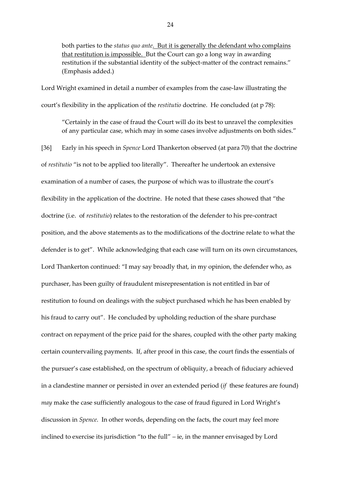both parties to the *status quo ante*. But it is generally the defendant who complains that restitution is impossible. But the Court can go a long way in awarding restitution if the substantial identity of the subject-matter of the contract remains." (Emphasis added.)

Lord Wright examined in detail a number of examples from the case-law illustrating the court's flexibility in the application of the *restitutio* doctrine. He concluded (at p 78):

"Certainly in the case of fraud the Court will do its best to unravel the complexities of any particular case, which may in some cases involve adjustments on both sides."

[36] Early in his speech in *Spence* Lord Thankerton observed (at para 70) that the doctrine of *restitutio* "is not to be applied too literally". Thereafter he undertook an extensive examination of a number of cases, the purpose of which was to illustrate the court's flexibility in the application of the doctrine. He noted that these cases showed that "the doctrine (i.e. of *restitutio*) relates to the restoration of the defender to his pre-contract position, and the above statements as to the modifications of the doctrine relate to what the defender is to get". While acknowledging that each case will turn on its own circumstances, Lord Thankerton continued: "I may say broadly that, in my opinion, the defender who, as purchaser, has been guilty of fraudulent misrepresentation is not entitled in bar of restitution to found on dealings with the subject purchased which he has been enabled by his fraud to carry out". He concluded by upholding reduction of the share purchase contract on repayment of the price paid for the shares, coupled with the other party making certain countervailing payments. If, after proof in this case, the court finds the essentials of the pursuer's case established, on the spectrum of obliquity, a breach of fiduciary achieved in a clandestine manner or persisted in over an extended period (*if* these features are found) *may* make the case sufficiently analogous to the case of fraud figured in Lord Wright's discussion in *Spence*. In other words, depending on the facts, the court may feel more inclined to exercise its jurisdiction "to the full" – ie, in the manner envisaged by Lord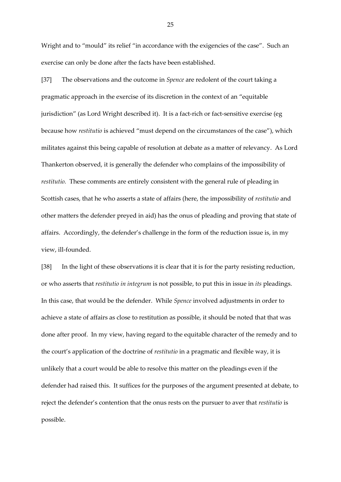Wright and to "mould" its relief "in accordance with the exigencies of the case". Such an exercise can only be done after the facts have been established.

[37] The observations and the outcome in *Spence* are redolent of the court taking a pragmatic approach in the exercise of its discretion in the context of an "equitable jurisdiction" (as Lord Wright described it). It is a fact-rich or fact-sensitive exercise (eg because how *restitutio* is achieved "must depend on the circumstances of the case"), which militates against this being capable of resolution at debate as a matter of relevancy. As Lord Thankerton observed, it is generally the defender who complains of the impossibility of *restitutio.* These comments are entirely consistent with the general rule of pleading in Scottish cases, that he who asserts a state of affairs (here, the impossibility of *restitutio* and other matters the defender preyed in aid) has the onus of pleading and proving that state of affairs. Accordingly, the defender's challenge in the form of the reduction issue is, in my view, ill-founded.

[38] In the light of these observations it is clear that it is for the party resisting reduction, or who asserts that *restitutio in integrum* is not possible, to put this in issue in *its* pleadings. In this case, that would be the defender. While *Spence* involved adjustments in order to achieve a state of affairs as close to restitution as possible, it should be noted that that was done after proof. In my view, having regard to the equitable character of the remedy and to the court's application of the doctrine of *restitutio* in a pragmatic and flexible way, it is unlikely that a court would be able to resolve this matter on the pleadings even if the defender had raised this. It suffices for the purposes of the argument presented at debate, to reject the defender's contention that the onus rests on the pursuer to aver that *restitutio* is possible.